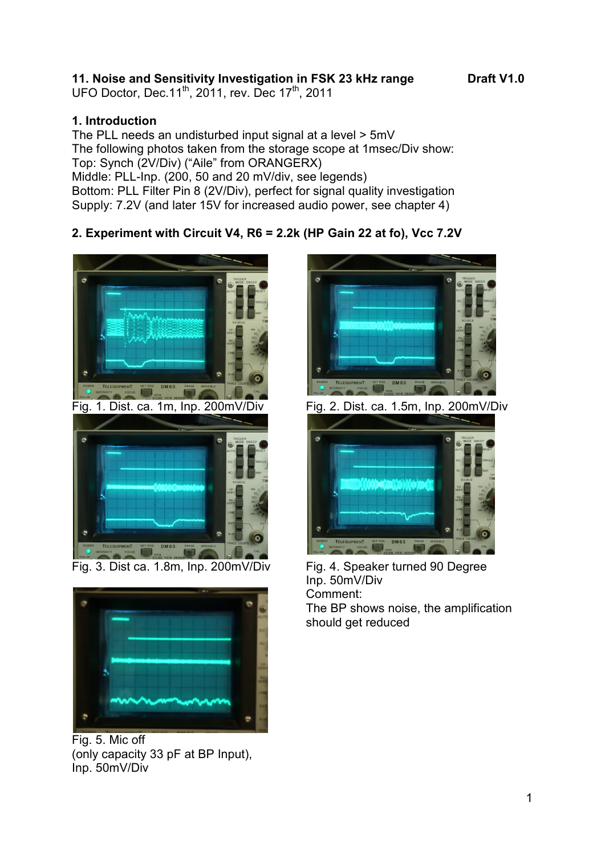## **11. Noise and Sensitivity Investigation in FSK 23 kHz range Draft V1.0**

UFO Doctor, Dec.11<sup>th</sup>, 2011, rev. Dec 17<sup>th</sup>, 2011

## **1. Introduction**

The PLL needs an undisturbed input signal at a level > 5mV The following photos taken from the storage scope at 1msec/Div show: Top: Synch (2V/Div) ("Aile" from ORANGERX) Middle: PLL-Inp. (200, 50 and 20 mV/div, see legends) Bottom: PLL Filter Pin 8 (2V/Div), perfect for signal quality investigation Supply: 7.2V (and later 15V for increased audio power, see chapter 4)

# **2. Experiment with Circuit V4, R6 = 2.2k (HP Gain 22 at fo), Vcc 7.2V**





Fig. 5. Mic off (only capacity 33 pF at BP Input), Inp. 50mV/Div





Fig. 3. Dist ca. 1.8m, Inp. 200mV/Div Fig. 4. Speaker turned 90 Degree Inp. 50mV/Div Comment:

The BP shows noise, the amplification should get reduced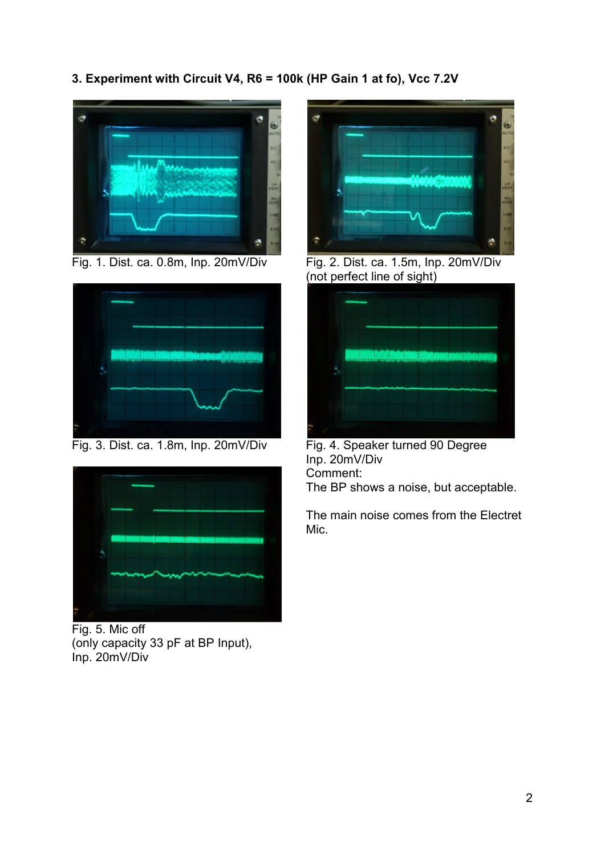**3. Experiment with Circuit V4, R6 = 100k (HP Gain 1 at fo), Vcc 7.2V** 





Fig. 3. Dist. ca. 1.8m, Inp. 20mV/Div Fig. 4. Speaker turned 90 Degree



Fig. 5. Mic off (only capacity 33 pF at BP Input), Inp. 20mV/Div



Fig. 1. Dist. ca. 0.8m, Inp. 20mV/Div Fig. 2. Dist. ca. 1.5m, Inp. 20mV/Div (not perfect line of sight)



Inp. 20mV/Div Comment: The BP shows a noise, but acceptable.

The main noise comes from the Electret Mic.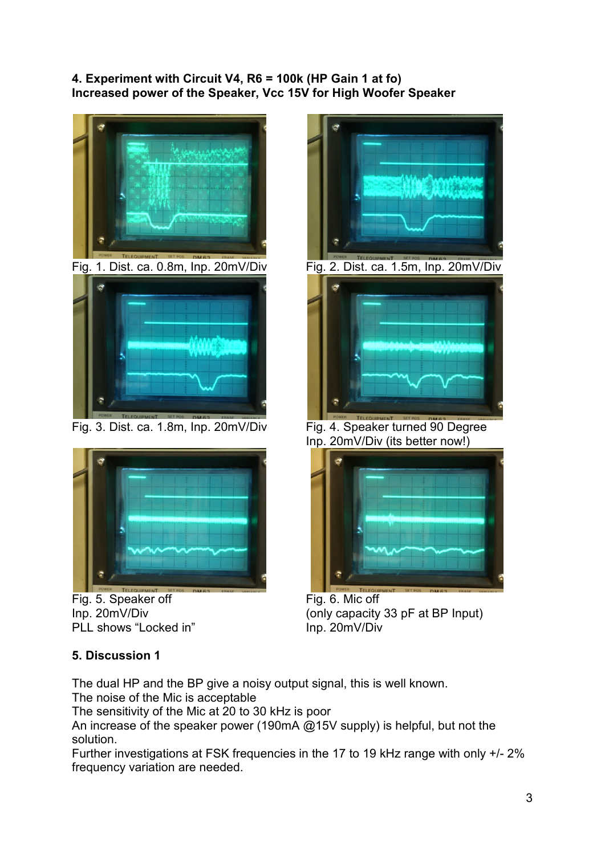### **4. Experiment with Circuit V4, R6 = 100k (HP Gain 1 at fo) Increased power of the Speaker, Vcc 15V for High Woofer Speaker**



Fig. 3. Dist. ca. 1.8m, Inp. 20mV/Div Fig. 4. Speaker turned 90 Degree



Fig. 5. Speaker off Inp. 20mV/Div PLL shows "Locked in"



Inp. 20mV/Div (its better now!)



Fig. 6. Mic off (only capacity 33 pF at BP Input) Inp. 20mV/Div

## **5. Discussion 1**

The dual HP and the BP give a noisy output signal, this is well known.

The noise of the Mic is acceptable

The sensitivity of the Mic at 20 to 30 kHz is poor

An increase of the speaker power (190mA @15V supply) is helpful, but not the solution.

Further investigations at FSK frequencies in the 17 to 19 kHz range with only +/- 2% frequency variation are needed.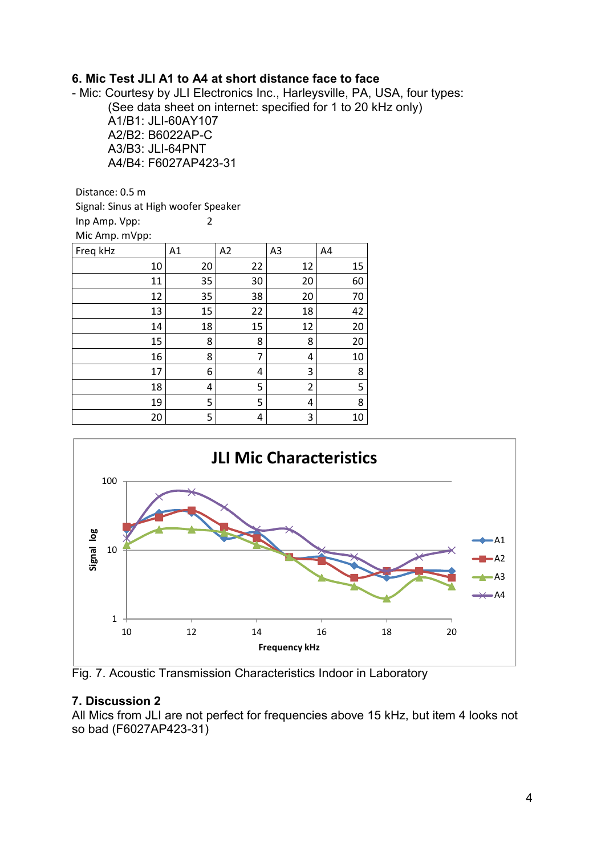### **6. Mic Test JLI A1 to A4 at short distance face to face**

- Mic: Courtesy by JLI Electronics Inc., Harleysville, PA, USA, four types: (See data sheet on internet: specified for 1 to 20 kHz only) A1/B1: JLI-60AY107 A2/B2: B6022AP-C A3/B3: JLI-64PNT A4/B4: F6027AP423-31

Distance: 0.5 m

Signal: Sinus at High woofer Speaker Inp Amp. Vpp: 2 Mic Amp. mVpp:

| Freq kHz | A1 | A2 | A3 | A4 |
|----------|----|----|----|----|
| 10       | 20 | 22 | 12 | 15 |
| 11       | 35 | 30 | 20 | 60 |
| 12       | 35 | 38 | 20 | 70 |
| 13       | 15 | 22 | 18 | 42 |
| 14       | 18 | 15 | 12 | 20 |
| 15       | 8  | 8  | 8  | 20 |
| 16       | 8  | 7  | 4  | 10 |
| 17       | 6  | 4  | 3  | 8  |
| 18       | 4  | 5  | 2  | 5  |
| 19       | 5  | 5  | 4  | 8  |
| 20       | 5  | 4  | 3  | 10 |



Fig. 7. Acoustic Transmission Characteristics Indoor in Laboratory

#### **7. Discussion 2**

All Mics from JLI are not perfect for frequencies above 15 kHz, but item 4 looks not so bad (F6027AP423-31)